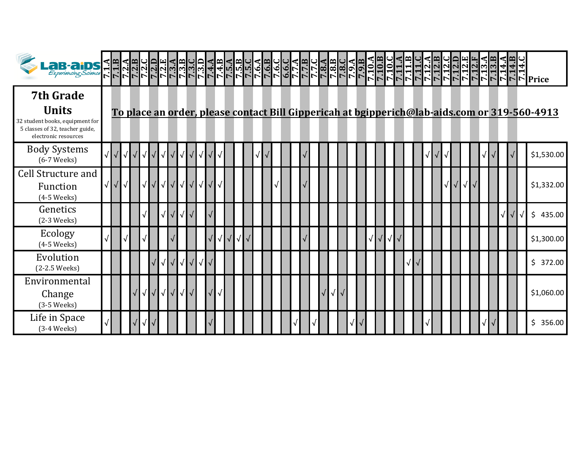| Lab-aids < medicine = medicine =                                                                                               |            |            |            |                   |                   |                                                   |           |  |  |  |  |  |  |  |  |  |  |  |  |                   |  |  |  |                                                                                              |
|--------------------------------------------------------------------------------------------------------------------------------|------------|------------|------------|-------------------|-------------------|---------------------------------------------------|-----------|--|--|--|--|--|--|--|--|--|--|--|--|-------------------|--|--|--|----------------------------------------------------------------------------------------------|
| <b>7th Grade</b><br><b>Units</b><br>32 student books, equipment for<br>5 classes of 32, teacher guide,<br>electronic resources |            |            |            |                   |                   |                                                   |           |  |  |  |  |  |  |  |  |  |  |  |  |                   |  |  |  | To place an order, please contact Bill Gippericah at bgipperich@lab-aids.com or 319-560-4913 |
| <b>Body Systems</b><br>$(6-7$ Weeks $)$                                                                                        | $\sqrt{ }$ | $\sqrt{ }$ | $\sqrt{ }$ | $\sqrt{\sqrt{}}$  | $\sqrt{\sqrt{2}}$ |                                                   |           |  |  |  |  |  |  |  |  |  |  |  |  |                   |  |  |  | \$1,530.00                                                                                   |
| <b>Cell Structure and</b><br>Function<br>$(4-5$ Weeks)                                                                         | $\sqrt{}$  |            | $\sqrt{ }$ |                   |                   |                                                   |           |  |  |  |  |  |  |  |  |  |  |  |  | $\sqrt{\sqrt{2}}$ |  |  |  | \$1,332.00                                                                                   |
| Genetics<br>$(2-3$ Weeks $)$                                                                                                   |            |            |            |                   |                   |                                                   |           |  |  |  |  |  |  |  |  |  |  |  |  |                   |  |  |  | \$<br>435.00                                                                                 |
| Ecology<br>$(4-5$ Weeks $)$                                                                                                    |            |            |            |                   |                   |                                                   | $\sqrt{}$ |  |  |  |  |  |  |  |  |  |  |  |  |                   |  |  |  | \$1,300.00                                                                                   |
| Evolution<br>(2-2.5 Weeks)                                                                                                     |            |            |            |                   |                   | $\sqrt{\sqrt{\sqrt{\sqrt{\sqrt{\sqrt{\cdots}}}}}$ |           |  |  |  |  |  |  |  |  |  |  |  |  |                   |  |  |  | \$372.00                                                                                     |
| Environmental<br>Change<br>$(3-5$ Weeks $)$                                                                                    |            |            | $\sqrt{ }$ | $\sqrt{\sqrt{2}}$ | $\sqrt{ }$        |                                                   |           |  |  |  |  |  |  |  |  |  |  |  |  |                   |  |  |  | \$1,060.00                                                                                   |
| Life in Space<br>$(3-4 \text{ Weeks})$                                                                                         |            | √          |            |                   |                   |                                                   |           |  |  |  |  |  |  |  |  |  |  |  |  |                   |  |  |  | \$356.00                                                                                     |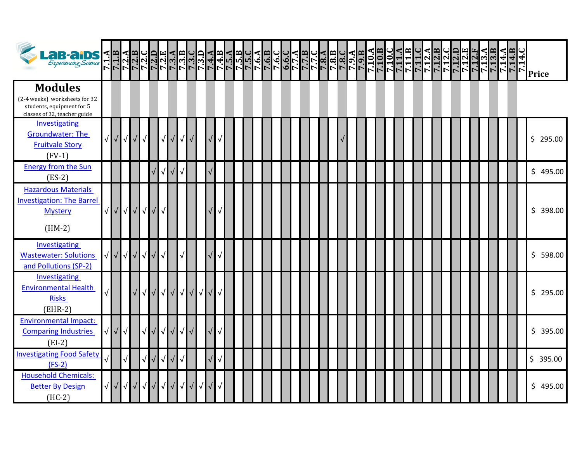| <b>LaB-aiDS</b>                                                                                              | 7.1.B      |            | $\frac{7.2 \text{ A}}{7.2 \text{ B}}$ |                   |   |                                                                                                                                                                                                                                                                                                                                                                                                                                                            |            |                               |            |                             |           |            |            |           |  |  |  | <u>7.6.C</u><br>0.6.C |  |  | <b>NULLULULULU</b><br>VILLOGOOOO<br>VILLOGOOOOO |  | 7.10.A | 7.10.C |  |  |  |  |  |  | 7.14.<br>7.14.1<br>7.14.1 | <b>Price</b> |
|--------------------------------------------------------------------------------------------------------------|------------|------------|---------------------------------------|-------------------|---|------------------------------------------------------------------------------------------------------------------------------------------------------------------------------------------------------------------------------------------------------------------------------------------------------------------------------------------------------------------------------------------------------------------------------------------------------------|------------|-------------------------------|------------|-----------------------------|-----------|------------|------------|-----------|--|--|--|-----------------------|--|--|-------------------------------------------------|--|--------|--------|--|--|--|--|--|--|---------------------------|--------------|
| <b>Modules</b><br>(2-4 weeks) worksheets for 32<br>students, equipment for 5<br>classes of 32, teacher guide |            |            |                                       |                   |   |                                                                                                                                                                                                                                                                                                                                                                                                                                                            |            |                               |            |                             |           |            |            |           |  |  |  |                       |  |  |                                                 |  |        |        |  |  |  |  |  |  |                           |              |
| Investigating<br>Groundwater: The<br><b>Fruitvale Story</b><br>$(FV-1)$                                      | $\sqrt{ }$ | $\sqrt{ }$ |                                       | $\sqrt{\sqrt{2}}$ |   | $\sqrt{ }$                                                                                                                                                                                                                                                                                                                                                                                                                                                 |            |                               | √          |                             |           |            |            |           |  |  |  |                       |  |  |                                                 |  |        |        |  |  |  |  |  |  |                           | \$295.00     |
| <b>Energy from the Sun</b><br>$(ES-2)$                                                                       |            |            |                                       |                   |   |                                                                                                                                                                                                                                                                                                                                                                                                                                                            | $\sqrt{ }$ | $\sqrt{ }$                    | $\sqrt{2}$ |                             |           |            |            |           |  |  |  |                       |  |  |                                                 |  |        |        |  |  |  |  |  |  |                           | \$495.00     |
| <b>Hazardous Materials</b><br><b>Investigation: The Barrel</b><br><b>Mystery</b><br>$(HM-2)$                 | $\sqrt{ }$ | $\sqrt{}$  |                                       |                   |   | √√√√                                                                                                                                                                                                                                                                                                                                                                                                                                                       |            |                               |            |                             |           |            |            |           |  |  |  |                       |  |  |                                                 |  |        |        |  |  |  |  |  |  |                           | \$398.00     |
| Investigating<br><b>Wastewater: Solutions</b><br>and Pollutions (SP-2)                                       | $\sqrt{}$  |            |                                       |                   |   | $\begin{array}{c c c c c} \hline \sqrt{\phantom{a}1} & \sqrt{\phantom{a}1} & \sqrt{\phantom{a}1} & \sqrt{\phantom{a}1} & \sqrt{\phantom{a}1} & \sqrt{\phantom{a}1} & \sqrt{\phantom{a}1} & \sqrt{\phantom{a}1} & \sqrt{\phantom{a}1} & \sqrt{\phantom{a}1} & \sqrt{\phantom{a}1} & \sqrt{\phantom{a}1} & \sqrt{\phantom{a}1} & \sqrt{\phantom{a}1} & \sqrt{\phantom{a}1} & \sqrt{\phantom{a}1} & \sqrt{\phantom{a}1} & \sqrt{\phantom{a}1} & \sqrt{\phant$ |            | $\sqrt{ }$                    |            |                             |           |            |            |           |  |  |  |                       |  |  |                                                 |  |        |        |  |  |  |  |  |  |                           | \$598.00     |
| Investigating<br><b>Environmental Health</b><br><b>Risks</b><br>$(EHR-2)$                                    |            |            |                                       |                   |   | $\sqrt{\left  \sqrt{\right  }}$                                                                                                                                                                                                                                                                                                                                                                                                                            |            | $\sqrt{\sqrt{2}}$             |            | $\sqrt{\sqrt{2}}$           |           | $\sqrt{ }$ | $\sqrt{2}$ |           |  |  |  |                       |  |  |                                                 |  |        |        |  |  |  |  |  |  |                           | \$295.00     |
| <b>Environmental Impact:</b><br><b>Comparing Industries</b><br>$(EI-2)$                                      | √          | $\sqrt{}$  | $\sqrt{ }$                            |                   | √ |                                                                                                                                                                                                                                                                                                                                                                                                                                                            | $\sqrt{ }$ | $\sqrt{}$                     | $\sqrt{2}$ | $\sqrt{}$                   | $\sqrt{}$ |            |            |           |  |  |  |                       |  |  |                                                 |  |        |        |  |  |  |  |  |  |                           | \$395.00     |
| <b>Investigating Food Safety</b><br>$(FS-2)$                                                                 |            |            |                                       |                   |   | $\sqrt{\sqrt{}}$                                                                                                                                                                                                                                                                                                                                                                                                                                           |            | $\sqrt{\sqrt{}}$              |            |                             |           |            | $\sqrt{2}$ | $\sqrt{}$ |  |  |  |                       |  |  |                                                 |  |        |        |  |  |  |  |  |  |                           | \$395.00     |
| <b>Household Chemicals:</b><br><b>Better By Design</b><br>$(HC-2)$                                           | $\sqrt{ }$ | $\sqrt{}$  |                                       |                   |   | √√√√                                                                                                                                                                                                                                                                                                                                                                                                                                                       |            | $\sqrt{ \sqrt{25} \sqrt{25}}$ |            | $\sqrt{ \sqrt{25} \rangle}$ |           | $\sqrt{ }$ |            |           |  |  |  |                       |  |  |                                                 |  |        |        |  |  |  |  |  |  |                           | \$495.00     |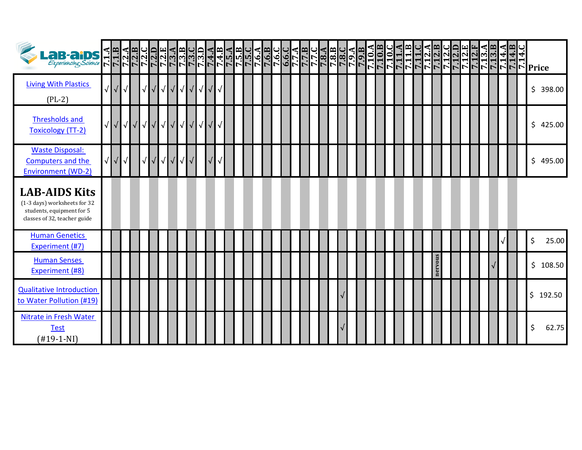| Lab-aids d'Alaquiduquidu<br><i>Experiencing Science</i> RRRRRRRRRR<br>Ex <i>periencing Science</i> RRRRRRRRRRRR   |            |            |            |            |            |            |            |   |            | $\frac{7.3 \text{ D}}{7.4 \text{ A}}$ |  |  |  |  |  |  |  | ϝϳϲͿϧͿϲͿϲͿϲͿϲͿϙͿϲͿϲͿϲͿϲͿϲͿϲͿϲͿϲͿ<br>ͿϯͿϣͿϣϳϙϳϙϳϙϳϙͿϲͿͰʹͿϲͿϣϸϸͿϙϳϙϳ<br>ͿͳͿϤͿͳͿϯϥͳϦͿϯͿϔͿϤͿϤͿϤͿϤͿϤͿͿϤ |  |  | $\frac{7.10 \text{ A}}{7.10 \text{ B}}$ | ٩<br>7.10.C | 7.11.B | 7.11.C | d  0 <br> 1  0  0  0  0 <br> 1  0  0  0 <br> 1  0  0  0 |         |  |  | $\frac{7.13}{7.13}$<br>Г. | 7.14.<br>7.14. |  | $\begin{bmatrix} \vec{r} \\ \vec{r} \end{bmatrix}$ Price |          |  |
|-------------------------------------------------------------------------------------------------------------------|------------|------------|------------|------------|------------|------------|------------|---|------------|---------------------------------------|--|--|--|--|--|--|--|----------------------------------------------------------------------------------------------------|--|--|-----------------------------------------|-------------|--------|--------|---------------------------------------------------------|---------|--|--|---------------------------|----------------|--|----------------------------------------------------------|----------|--|
| <b>Living With Plastics</b><br>$(PL-2)$                                                                           |            |            |            | $\sqrt{ }$ | $\sqrt{ }$ | $\sqrt{ }$ |            |   |            | $\sqrt{ \sqrt{2}}$                    |  |  |  |  |  |  |  |                                                                                                    |  |  |                                         |             |        |        |                                                         |         |  |  |                           |                |  |                                                          | \$398.00 |  |
| <b>Thresholds and</b><br><b>Toxicology (TT-2)</b>                                                                 | $\sqrt{ }$ | $\sqrt{ }$ | $\sqrt{ }$ |            |            |            | √√√√√√     |   |            | $\sqrt{ \sqrt{2}}$                    |  |  |  |  |  |  |  |                                                                                                    |  |  |                                         |             |        |        |                                                         |         |  |  |                           |                |  |                                                          | \$425.00 |  |
| <b>Waste Disposal:</b><br>Computers and the<br><b>Environment (WD-2)</b>                                          | $\sqrt{ }$ | √          |            | √          | $\sqrt{}$  | √          | $\sqrt{ }$ | √ | $\sqrt{2}$ |                                       |  |  |  |  |  |  |  |                                                                                                    |  |  |                                         |             |        |        |                                                         |         |  |  |                           |                |  |                                                          | \$495.00 |  |
| <b>LAB-AIDS Kits</b><br>(1-3 days) worksheets for 32<br>students, equipment for 5<br>classes of 32, teacher guide |            |            |            |            |            |            |            |   |            |                                       |  |  |  |  |  |  |  |                                                                                                    |  |  |                                         |             |        |        |                                                         |         |  |  |                           |                |  |                                                          |          |  |
| <b>Human Genetics</b><br>Experiment (#7)                                                                          |            |            |            |            |            |            |            |   |            |                                       |  |  |  |  |  |  |  |                                                                                                    |  |  |                                         |             |        |        |                                                         |         |  |  |                           |                |  | \$                                                       | 25.00    |  |
| <b>Human Senses</b><br><b>Experiment (#8)</b>                                                                     |            |            |            |            |            |            |            |   |            |                                       |  |  |  |  |  |  |  |                                                                                                    |  |  |                                         |             |        |        |                                                         | nervous |  |  |                           |                |  |                                                          | \$108.50 |  |
| <b>Qualitative Introduction</b><br>to Water Pollution (#19)                                                       |            |            |            |            |            |            |            |   |            |                                       |  |  |  |  |  |  |  |                                                                                                    |  |  |                                         |             |        |        |                                                         |         |  |  |                           |                |  |                                                          | \$192.50 |  |
| Nitrate in Fresh Water<br><b>Test</b><br>$(H19-1-NI)$                                                             |            |            |            |            |            |            |            |   |            |                                       |  |  |  |  |  |  |  |                                                                                                    |  |  |                                         |             |        |        |                                                         |         |  |  |                           |                |  | \$                                                       | 62.75    |  |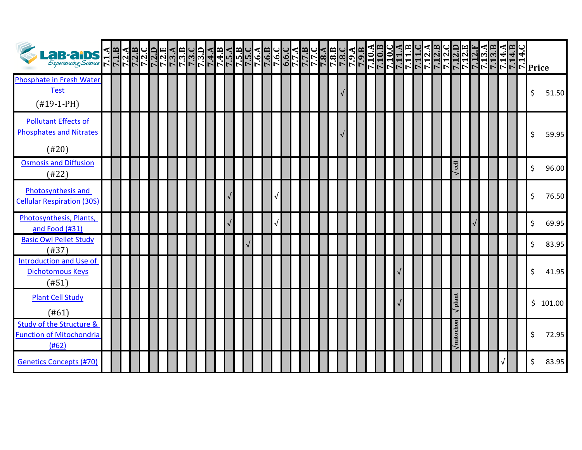| Lab-aips < Helenope                                                    |  |  |  |  | 7.3.B | רבבבבבב<br>שטאראטי<br>הספר |  |  |  |  | <b> da c c da a </b><br> dd dd d d <br> h c d d h |  |  | URABU<br>TRABU<br>TRABU | $\frac{10.9}{7.9}$ | 7.10. | 7.10.B | <b>7.10.</b> | 7.11. | 7.11.B | 7.11.C<br>7.12.A<br>7.12.B | 7.12.0<br>7.12.D |                          | 7.12.I | $\frac{7.131}{7.131}$ |  |  | <b>4 muululululul</b><br>HHHH<br>NHHHHHHH |          |
|------------------------------------------------------------------------|--|--|--|--|-------|----------------------------|--|--|--|--|---------------------------------------------------|--|--|-------------------------|--------------------|-------|--------|--------------|-------|--------|----------------------------|------------------|--------------------------|--------|-----------------------|--|--|-------------------------------------------|----------|
| Phosphate in Fresh Water<br><b>Test</b><br>$(H19-1-PH)$                |  |  |  |  |       |                            |  |  |  |  |                                                   |  |  |                         |                    |       |        |              |       |        |                            |                  |                          |        |                       |  |  | \$                                        | 51.50    |
| <b>Pollutant Effects of</b><br><b>Phosphates and Nitrates</b><br>(#20) |  |  |  |  |       |                            |  |  |  |  |                                                   |  |  |                         |                    |       |        |              |       |        |                            |                  |                          |        |                       |  |  |                                           | 59.95    |
| <b>Osmosis and Diffusion</b><br>(#22)                                  |  |  |  |  |       |                            |  |  |  |  |                                                   |  |  |                         |                    |       |        |              |       |        |                            |                  | rel                      |        |                       |  |  | \$                                        | 96.00    |
| Photosynthesis and<br><b>Cellular Respiration (30S)</b>                |  |  |  |  |       |                            |  |  |  |  |                                                   |  |  |                         |                    |       |        |              |       |        |                            |                  |                          |        |                       |  |  | Ś.                                        | 76.50    |
| Photosynthesis, Plants,<br>and Food (#31)                              |  |  |  |  |       |                            |  |  |  |  |                                                   |  |  |                         |                    |       |        |              |       |        |                            |                  |                          |        |                       |  |  | \$                                        | 69.95    |
| <b>Basic Owl Pellet Study</b><br>(#37)                                 |  |  |  |  |       |                            |  |  |  |  |                                                   |  |  |                         |                    |       |        |              |       |        |                            |                  |                          |        |                       |  |  | \$                                        | 83.95    |
| <b>Introduction and Use of</b><br><b>Dichotomous Keys</b><br>(#51)     |  |  |  |  |       |                            |  |  |  |  |                                                   |  |  |                         |                    |       |        |              |       |        |                            |                  |                          |        |                       |  |  | \$                                        | 41.95    |
| <b>Plant Cell Study</b><br>(#61)                                       |  |  |  |  |       |                            |  |  |  |  |                                                   |  |  |                         |                    |       |        |              |       |        |                            |                  | $\sqrt{$ plant           |        |                       |  |  |                                           | \$101.00 |
| Study of the Structure &<br><b>Function of Mitochondria</b><br>(#62)   |  |  |  |  |       |                            |  |  |  |  |                                                   |  |  |                         |                    |       |        |              |       |        |                            |                  | $\sqrt{\text{mitochon}}$ |        |                       |  |  | Ś                                         | 72.95    |
| <b>Genetics Concepts (#70)</b>                                         |  |  |  |  |       |                            |  |  |  |  |                                                   |  |  |                         |                    |       |        |              |       |        |                            |                  |                          |        |                       |  |  | \$                                        | 83.95    |